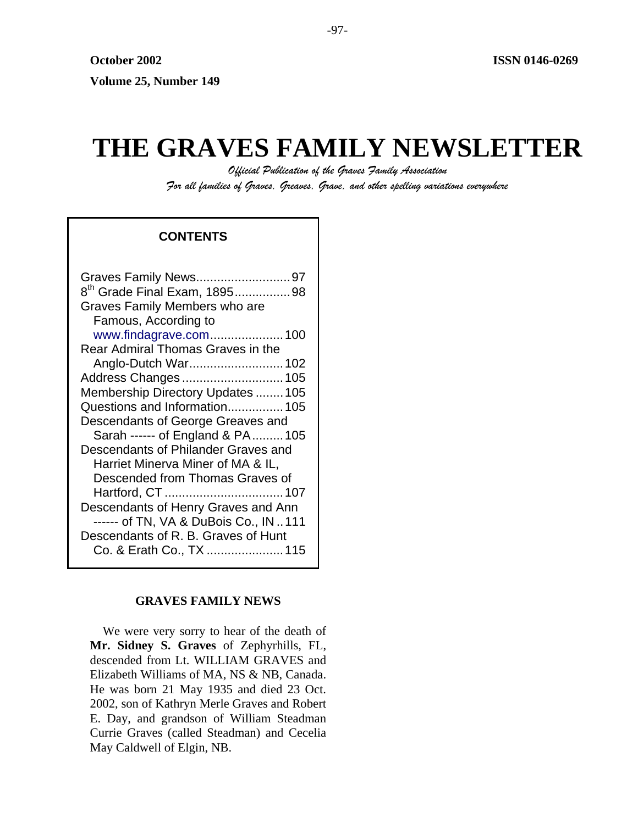# **THE GRAVES FAMILY NEWSLETTER**

*Official Publication of the Graves Family Association For all families of Graves, Greaves, Grave, and other spelling variations everywhere* 

## **CONTENTS**

| Graves Family News97                     |  |  |
|------------------------------------------|--|--|
| 8 <sup>th</sup> Grade Final Exam, 189598 |  |  |
| Graves Family Members who are            |  |  |
| Famous, According to                     |  |  |
| www.findagrave.com 100                   |  |  |
| Rear Admiral Thomas Graves in the        |  |  |
|                                          |  |  |
| Address Changes 105                      |  |  |
| Membership Directory Updates  105        |  |  |
| Questions and Information 105            |  |  |
| Descendants of George Greaves and        |  |  |
| Sarah ------ of England & PA105          |  |  |
| Descendants of Philander Graves and      |  |  |
| Harriet Minerva Miner of MA & IL,        |  |  |
| Descended from Thomas Graves of          |  |  |
|                                          |  |  |
| Descendants of Henry Graves and Ann      |  |  |
| ------ of TN, VA & DuBois Co., IN 111    |  |  |
| Descendants of R. B. Graves of Hunt      |  |  |
| Co. & Erath Co., TX  115                 |  |  |

#### **GRAVES FAMILY NEWS**

We were very sorry to hear of the death of **Mr. Sidney S. Graves** of Zephyrhills, FL, descended from Lt. WILLIAM GRAVES and Elizabeth Williams of MA, NS & NB, Canada. He was born 21 May 1935 and died 23 Oct. 2002, son of Kathryn Merle Graves and Robert E. Day, and grandson of William Steadman Currie Graves (called Steadman) and Cecelia May Caldwell of Elgin, NB.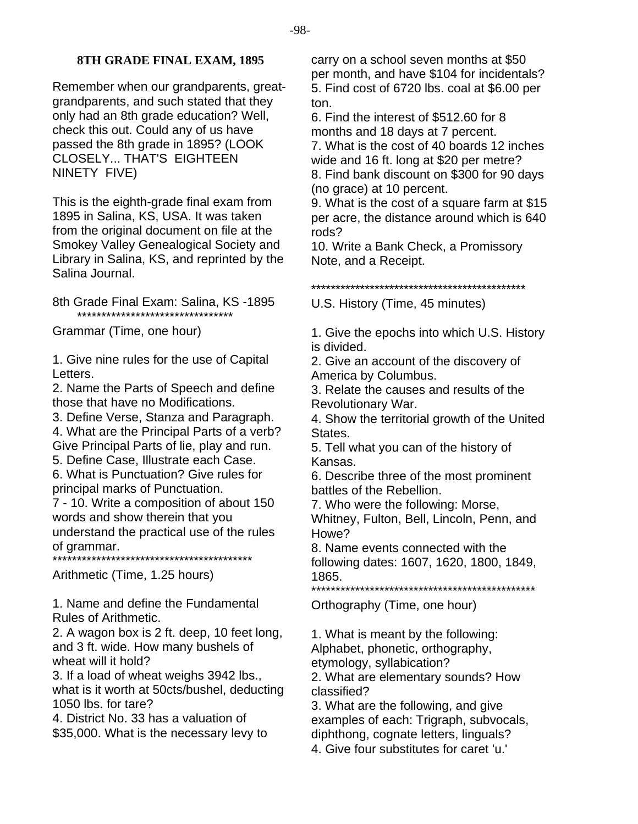Remember when our grandparents, greatgrandparents, and such stated that they only had an 8th grade education? Well, check this out. Could any of us have passed the 8th grade in 1895? (LOOK CLOSELY... THAT'S EIGHTEEN NINETY FIVE)

This is the eighth-grade final exam from 1895 in Salina, KS, USA. It was taken from the original document on file at the Smokey Valley Genealogical Society and Library in Salina, KS, and reprinted by the Salina Journal.

8th Grade Final Exam: Salina, KS -1895 \*\*\*\*\*\*\*\*\*\*\*\*\*\*\*\*\*\*\*\*\*\*\*\*\*\*\*\*\*\*\*\*

Grammar (Time, one hour)

1. Give nine rules for the use of Capital Letters.

2. Name the Parts of Speech and define those that have no Modifications.

3. Define Verse, Stanza and Paragraph.

4. What are the Principal Parts of a verb? Give Principal Parts of lie, play and run. 5. Define Case, Illustrate each Case.

6. What is Punctuation? Give rules for principal marks of Punctuation.

7 - 10. Write a composition of about 150 words and show therein that you understand the practical use of the rules of grammar.

\*\*\*\*\*\*\*\*\*\*\*\*\*\*\*\*\*\*\*\*\*\*\*\*\*\*\*\*\*\*\*\*\*\*\*\*\*\*\*\*\*

Arithmetic (Time, 1.25 hours)

1. Name and define the Fundamental Rules of Arithmetic.

2. A wagon box is 2 ft. deep, 10 feet long, and 3 ft. wide. How many bushels of wheat will it hold?

3. If a load of wheat weighs 3942 lbs., what is it worth at 50cts/bushel, deducting 1050 lbs. for tare?

4. District No. 33 has a valuation of \$35,000. What is the necessary levy to carry on a school seven months at \$50 per month, and have \$104 for incidentals? 5. Find cost of 6720 lbs. coal at \$6.00 per ton.

6. Find the interest of \$512.60 for 8 months and 18 days at 7 percent.

7. What is the cost of 40 boards 12 inches wide and 16 ft. long at \$20 per metre? 8. Find bank discount on \$300 for 90 days (no grace) at 10 percent.

9. What is the cost of a square farm at \$15 per acre, the distance around which is 640 rods?

10. Write a Bank Check, a Promissory Note, and a Receipt.

\*\*\*\*\*\*\*\*\*\*\*\*\*\*\*\*\*\*\*\*\*\*\*\*\*\*\*\*\*\*\*\*\*\*\*\*\*\*\*\*\*\*\*\*

U.S. History (Time, 45 minutes)

1. Give the epochs into which U.S. History is divided.

2. Give an account of the discovery of America by Columbus.

3. Relate the causes and results of the Revolutionary War.

4. Show the territorial growth of the United States.

5. Tell what you can of the history of Kansas.

6. Describe three of the most prominent battles of the Rebellion.

7. Who were the following: Morse,

Whitney, Fulton, Bell, Lincoln, Penn, and Howe?

8. Name events connected with the following dates: 1607, 1620, 1800, 1849, 1865.

\*\*\*\*\*\*\*\*\*\*\*\*\*\*\*\*\*\*\*\*\*\*\*\*\*\*\*\*\*\*\*\*\*\*\*\*\*\*\*\*\*\*\*\*\*\*

Orthography (Time, one hour)

1. What is meant by the following: Alphabet, phonetic, orthography, etymology, syllabication?

2. What are elementary sounds? How classified?

3. What are the following, and give examples of each: Trigraph, subvocals, diphthong, cognate letters, linguals? 4. Give four substitutes for caret 'u.'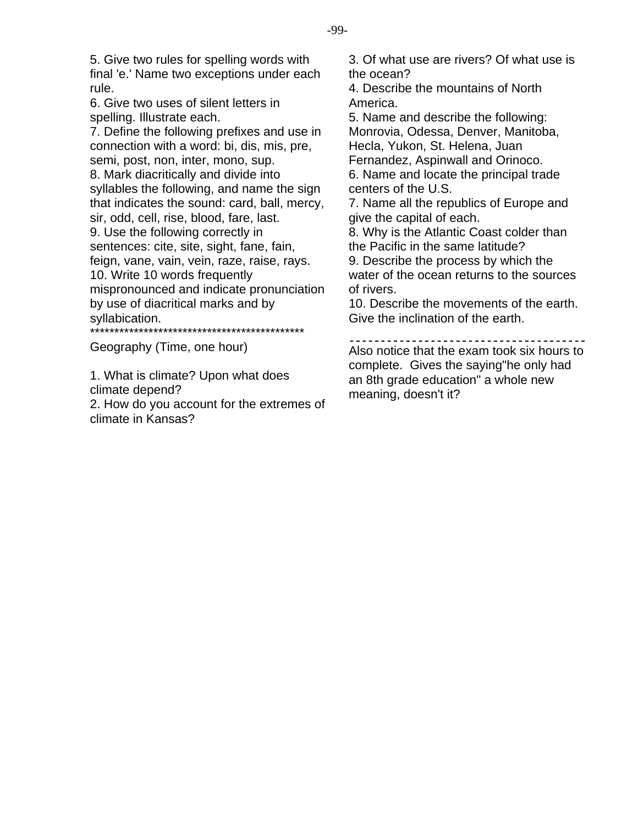5. Give two rules for spelling words with final 'e.' Name two exceptions under each rule.

6. Give two uses of silent letters in spelling. Illustrate each.

7. Define the following prefixes and use in connection with a word: bi, dis, mis, pre, semi, post, non, inter, mono, sup. 8. Mark diacritically and divide into syllables the following, and name the sign that indicates the sound: card, ball, mercy, sir, odd, cell, rise, blood, fare, last. 9. Use the following correctly in sentences: cite, site, sight, fane, fain, feign, vane, vain, vein, raze, raise, rays. 10. Write 10 words frequently mispronounced and indicate pronunciation by use of diacritical marks and by syllabication.

\*\*\*\*\*\*\*\*\*\*\*\*\*\*\*\*\*\*\*\*\*\*\*\*\*\*\*\*\*\*\*\*\*\*\*\*\*\*\*\*\*\*\*\*

Geography (Time, one hour)

1. What is climate? Upon what does climate depend?

2. How do you account for the extremes of climate in Kansas?

3. Of what use are rivers? Of what use is the ocean?

4. Describe the mountains of North America.

5. Name and describe the following: Monrovia, Odessa, Denver, Manitoba, Hecla, Yukon, St. Helena, Juan Fernandez, Aspinwall and Orinoco. 6. Name and locate the principal trade centers of the U.S.

7. Name all the republics of Europe and give the capital of each.

8. Why is the Atlantic Coast colder than the Pacific in the same latitude?

9. Describe the process by which the water of the ocean returns to the sources of rivers.

10. Describe the movements of the earth. Give the inclination of the earth.

Also notice that the exam took six hours to complete. Gives the saying"he only had an 8th grade education" a whole new meaning, doesn't it?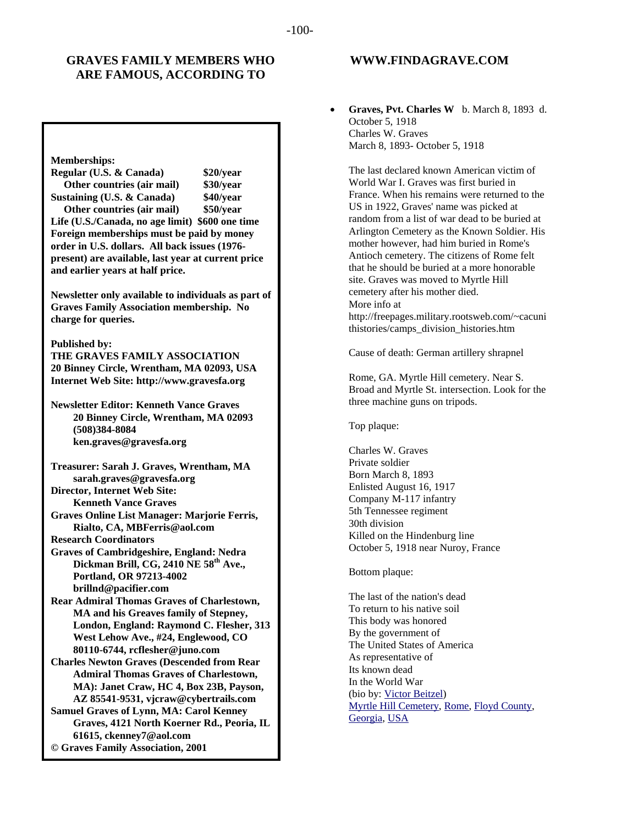## **GRAVES FAMILY MEMBERS WHO ARE FAMOUS, ACCORDING TO**

#### **Memberships:**

**Regular (U.S. & Canada) \$20/year Other countries (air mail) \$30/year Sustaining (U.S. & Canada) \$40/year Other countries (air mail) \$50/year Life (U.S./Canada, no age limit) \$600 one time Foreign memberships must be paid by money order in U.S. dollars. All back issues (1976 present) are available, last year at current price and earlier years at half price.** 

**Newsletter only available to individuals as part of Graves Family Association membership. No charge for queries.** 

#### **Published by:**

**THE GRAVES FAMILY ASSOCIATION 20 Binney Circle, Wrentham, MA 02093, USA Internet Web Site: http://www.gravesfa.org** 

**Newsletter Editor: Kenneth Vance Graves 20 Binney Circle, Wrentham, MA 02093 (508)384-8084 ken.graves@gravesfa.org** 

**Treasurer: Sarah J. Graves, Wrentham, MA sarah.graves@gravesfa.org Director, Internet Web Site: Kenneth Vance Graves** 

**Graves Online List Manager: Marjorie Ferris, Rialto, CA, MBFerris@aol.com** 

**Research Coordinators** 

**Graves of Cambridgeshire, England: Nedra Dickman Brill, CG, 2410 NE 58th Ave., Portland, OR 97213-4002 brillnd@pacifier.com** 

**Rear Admiral Thomas Graves of Charlestown, MA and his Greaves family of Stepney, London, England: Raymond C. Flesher, 313 West Lehow Ave., #24, Englewood, CO 80110-6744, rcflesher@juno.com** 

**Charles Newton Graves (Descended from Rear Admiral Thomas Graves of Charlestown, MA): Janet Craw, HC 4, Box 23B, Payson, AZ 85541-9531, vjcraw@cybertrails.com** 

**Samuel Graves of Lynn, MA: Carol Kenney Graves, 4121 North Koerner Rd., Peoria, IL 61615, ckenney7@aol.com © Graves Family Association, 2001**

#### **WWW.FINDAGRAVE.COM**

• **Graves, Pvt. Charles W** b. March 8, 1893 d. October 5, 1918 Charles W. Graves March 8, 1893- October 5, 1918

The last declared known American victim of World War I. Graves was first buried in France. When his remains were returned to the US in 1922, Graves' name was picked at random from a list of war dead to be buried at Arlington Cemetery as the Known Soldier. His mother however, had him buried in Rome's Antioch cemetery. The citizens of Rome felt that he should be buried at a more honorable site. Graves was moved to Myrtle Hill cemetery after his mother died. More info at http://freepages.military.rootsweb.com/~cacuni thistories/camps\_division\_histories.htm

Cause of death: German artillery shrapnel

Rome, GA. Myrtle Hill cemetery. Near S. Broad and Myrtle St. intersection. Look for the three machine guns on tripods.

Top plaque:

Charles W. Graves Private soldier Born March 8, 1893 Enlisted August 16, 1917 Company M-117 infantry 5th Tennessee regiment 30th division Killed on the Hindenburg line October 5, 1918 near Nuroy, France

#### Bottom plaque:

The last of the nation's dead To return to his native soil This body was honored By the government of The United States of America As representative of Its known dead In the World War (bio by: [Victor Beitzel](http://www.findagrave.com/cgi-bin/fg.cgi?page=mr&MRid=954)) [Myrtle Hill Cemetery](http://www.findagrave.com/cgi-bin/famousSearch.cgi?mode=cemetery&FScemeteryid=35695), [Rome](http://www.findagrave.com/cgi-bin/famousSearch.cgi?mode=city&FScityid=34696), [Floyd County,](http://www.findagrave.com/cgi-bin/famousSearch.cgi?mode=county&FScountyid=439) [Georgia](http://www.findagrave.com/cgi-bin/famousSearch.cgi?mode=state&FSstateid=12), [USA](http://www.findagrave.com/cgi-bin/famousSearch.cgi?mode=country&FScountryid=4)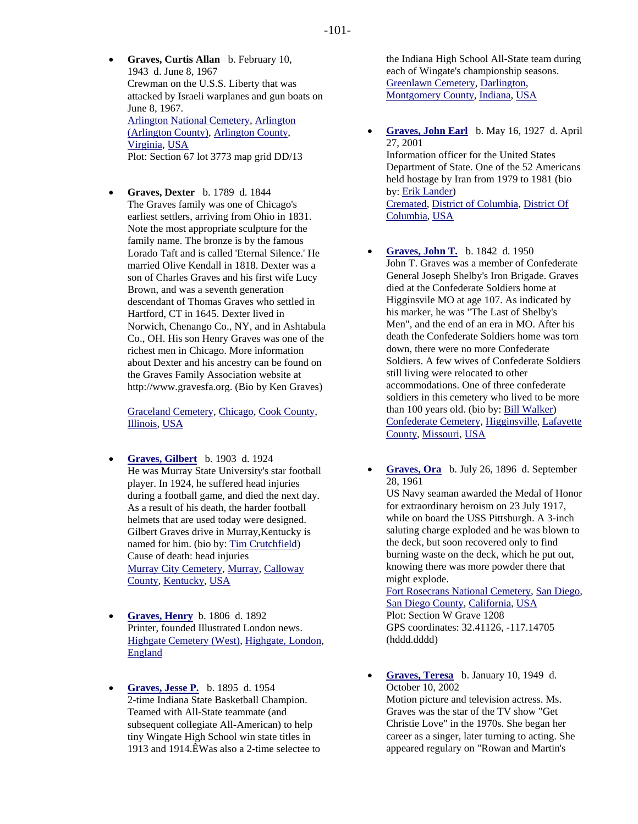- **Graves, Curtis Allan** b. February 10, 1943 d. June 8, 1967 Crewman on the U.S.S. Liberty that was attacked by Israeli warplanes and gun boats on June 8, 1967. [Arlington National Cemetery,](http://www.findagrave.com/cgi-bin/famousSearch.cgi?mode=cemetery&FScemeteryid=49269) [Arlington](http://www.findagrave.com/cgi-bin/famousSearch.cgi?mode=city&FScityid=149119)  [\(Arlington County\)](http://www.findagrave.com/cgi-bin/famousSearch.cgi?mode=city&FScityid=149119), [Arlington County](http://www.findagrave.com/cgi-bin/famousSearch.cgi?mode=county&FScountyid=2809), [Virginia,](http://www.findagrave.com/cgi-bin/famousSearch.cgi?mode=state&FSstateid=48) [USA](http://www.findagrave.com/cgi-bin/famousSearch.cgi?mode=country&FScountryid=4) Plot: Section 67 lot 3773 map grid DD/13
- **Graves, Dexter** b. 1789 d. 1844 The Graves family was one of Chicago's earliest settlers, arriving from Ohio in 1831. Note the most appropriate sculpture for the family name. The bronze is by the famous Lorado Taft and is called 'Eternal Silence.' He married Olive Kendall in 1818. Dexter was a son of Charles Graves and his first wife Lucy Brown, and was a seventh generation descendant of Thomas Graves who settled in Hartford, CT in 1645. Dexter lived in Norwich, Chenango Co., NY, and in Ashtabula Co., OH. His son Henry Graves was one of the richest men in Chicago. More information about Dexter and his ancestry can be found on the Graves Family Association website at http://www.gravesfa.org. (Bio by Ken Graves)

[Graceland Cemetery,](http://www.findagrave.com/cgi-bin/famousSearch.cgi?mode=cemetery&FScemeteryid=105864) [Chicago](http://www.findagrave.com/cgi-bin/famousSearch.cgi?mode=city&FScityid=41038), [Cook County](http://www.findagrave.com/cgi-bin/famousSearch.cgi?mode=county&FScountyid=705), [Illinois,](http://www.findagrave.com/cgi-bin/famousSearch.cgi?mode=state&FSstateid=16) [USA](http://www.findagrave.com/cgi-bin/famousSearch.cgi?mode=country&FScountryid=4)

- **[Graves, Gilbert](http://www.findagrave.com/cgi-bin/fg.cgi?page=gr&GRid=19480)** b. 1903 d. 1924 He was Murray State University's star football player. In 1924, he suffered head injuries during a football game, and died the next day. As a result of his death, the harder football helmets that are used today were designed. Gilbert Graves drive in Murray,Kentucky is named for him. (bio by: [Tim Crutchfield](http://www.findagrave.com/cgi-bin/fg.cgi?page=mr&MRid=815)) Cause of death: head injuries [Murray City Cemetery](http://www.findagrave.com/cgi-bin/famousSearch.cgi?mode=cemetery&FScemeteryid=75260), [Murray,](http://www.findagrave.com/cgi-bin/famousSearch.cgi?mode=city&FScityid=52443) [Calloway](http://www.findagrave.com/cgi-bin/famousSearch.cgi?mode=county&FScountyid=1006)  [County,](http://www.findagrave.com/cgi-bin/famousSearch.cgi?mode=county&FScountyid=1006) [Kentucky,](http://www.findagrave.com/cgi-bin/famousSearch.cgi?mode=state&FSstateid=19) [USA](http://www.findagrave.com/cgi-bin/famousSearch.cgi?mode=country&FScountryid=4)
- **[Graves, Henry](http://www.findagrave.com/cgi-bin/fg.cgi?page=gr&GRid=10561)** b. 1806 d. 1892 Printer, founded Illustrated London news. [Highgate Cemetery \(West\)](http://www.findagrave.com/cgi-bin/famousSearch.cgi?mode=cemetery&FScemeteryid=638895), [Highgate, London,](http://www.findagrave.com/cgi-bin/famousSearch.cgi?mode=city&FScityid=403992) [England](http://www.findagrave.com/cgi-bin/famousSearch.cgi?mode=country&FScountryid=5)
- **[Graves, Jesse P.](http://www.findagrave.com/cgi-bin/fg.cgi?page=gr&GRid=11629)** b. 1895 d. 1954 2-time Indiana State Basketball Champion. Teamed with All-State teammate (and subsequent collegiate All-American) to help tiny Wingate High School win state titles in 1913 and 1914.ÊWas also a 2-time selectee to

the Indiana High School All-State team during each of Wingate's championship seasons. [Greenlawn Cemetery](http://www.findagrave.com/cgi-bin/famousSearch.cgi?mode=cemetery&FScemeteryid=85212), [Darlington,](http://www.findagrave.com/cgi-bin/famousSearch.cgi?mode=city&FScityid=45296) [Montgomery County](http://www.findagrave.com/cgi-bin/famousSearch.cgi?mode=county&FScountyid=845), [Indiana](http://www.findagrave.com/cgi-bin/famousSearch.cgi?mode=state&FSstateid=17), [USA](http://www.findagrave.com/cgi-bin/famousSearch.cgi?mode=country&FScountryid=4)

- **[Graves, John Earl](http://www.findagrave.com/cgi-bin/fg.cgi?page=gr&GRid=5942742)** b. May 16, 1927 d. April 27, 2001 Information officer for the United States Department of State. One of the 52 Americans held hostage by Iran from 1979 to 1981 (bio by: [Erik Lander](http://www.findagrave.com/cgi-bin/fg.cgi?page=mr&MRid=503045)) [Cremated,](http://www.findagrave.com/cgi-bin/famousSearch.cgi?mode=cemetery&FScemeteryid=1066577) [District of Columbia,](http://www.findagrave.com/cgi-bin/famousSearch.cgi?mode=county&FScountyid=312) [District Of](http://www.findagrave.com/cgi-bin/famousSearch.cgi?mode=state&FSstateid=9)  [Columbia](http://www.findagrave.com/cgi-bin/famousSearch.cgi?mode=state&FSstateid=9), [USA](http://www.findagrave.com/cgi-bin/famousSearch.cgi?mode=country&FScountryid=4)
- **[Graves, John T.](http://www.findagrave.com/cgi-bin/fg.cgi?page=gr&GRid=9903)** b. 1842 d. 1950 John T. Graves was a member of Confederate General Joseph Shelby's Iron Brigade. Graves died at the Confederate Soldiers home at Higginsvile MO at age 107. As indicated by his marker, he was "The Last of Shelby's Men", and the end of an era in MO. After his death the Confederate Soldiers home was torn down, there were no more Confederate Soldiers. A few wives of Confederate Soldiers still living were relocated to other accommodations. One of three confederate soldiers in this cemetery who lived to be more than 100 years old. (bio by: [Bill Walker\)](http://www.findagrave.com/cgi-bin/fg.cgi?page=mr&MRid=656) [Confederate Cemetery](http://www.findagrave.com/cgi-bin/famousSearch.cgi?mode=cemetery&FScemeteryid=304493), [Higginsville,](http://www.findagrave.com/cgi-bin/famousSearch.cgi?mode=city&FScityid=77421) [Lafayette](http://www.findagrave.com/cgi-bin/famousSearch.cgi?mode=county&FScountyid=1450)  [County](http://www.findagrave.com/cgi-bin/famousSearch.cgi?mode=county&FScountyid=1450), [Missouri](http://www.findagrave.com/cgi-bin/famousSearch.cgi?mode=state&FSstateid=26), [USA](http://www.findagrave.com/cgi-bin/famousSearch.cgi?mode=country&FScountryid=4)
- **[Graves, Ora](http://www.findagrave.com/cgi-bin/fg.cgi?page=gr&GRid=9713)** b. July 26, 1896 d. September 28, 1961

US Navy seaman awarded the Medal of Honor for extraordinary heroism on 23 July 1917, while on board the USS Pittsburgh. A 3-inch saluting charge exploded and he was blown to the deck, but soon recovered only to find burning waste on the deck, which he put out, knowing there was more powder there that might explode.

[Fort Rosecrans National Cemetery,](http://www.findagrave.com/cgi-bin/famousSearch.cgi?mode=cemetery&FScemeteryid=7978) [San Diego,](http://www.findagrave.com/cgi-bin/famousSearch.cgi?mode=city&FScityid=20136) [San Diego County,](http://www.findagrave.com/cgi-bin/famousSearch.cgi?mode=county&FScountyid=219) [California,](http://www.findagrave.com/cgi-bin/famousSearch.cgi?mode=state&FSstateid=6) [USA](http://www.findagrave.com/cgi-bin/famousSearch.cgi?mode=country&FScountryid=4) Plot: Section W Grave 1208 GPS coordinates: 32.41126, -117.14705 (hddd.dddd)

• **[Graves, Teresa](http://www.findagrave.com/cgi-bin/fg.cgi?page=gr&GRid=6877177)** b. January 10, 1949 d. October 10, 2002 Motion picture and television actress. Ms. Graves was the star of the TV show "Get Christie Love" in the 1970s. She began her career as a singer, later turning to acting. She appeared regulary on "Rowan and Martin's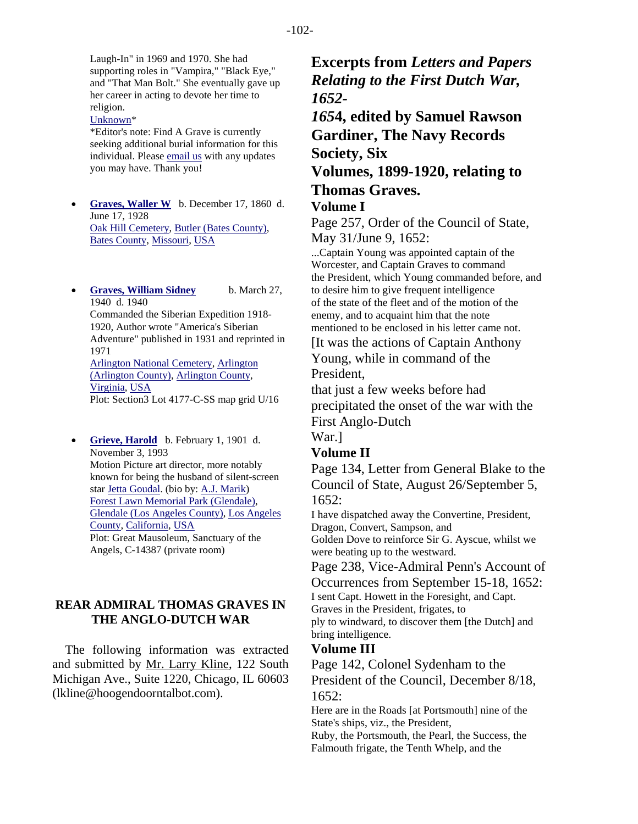Laugh-In" in 1969 and 1970. She had supporting roles in "Vampira," "Black Eye," and "That Man Bolt." She eventually gave up her career in acting to devote her time to religion.

#### [Unknown](http://www.findagrave.com/cgi-bin/famousSearch.cgi?mode=disposition&FSdisposition=Unknown)\*

\*Editor's note: Find A Grave is currently seeking additional burial information for this individual. Please [email us](mailto:AJMarik@findagrave.com) with any updates you may have. Thank you!

- **[Graves, Waller W](http://www.findagrave.com/cgi-bin/fg.cgi?page=gr&GRid=5799930)** b. December 17, 1860 d. June 17, 1928 [Oak Hill Cemetery,](http://www.findagrave.com/cgi-bin/famousSearch.cgi?mode=cemetery&FScemeteryid=30591) [Butler \(Bates County\)](http://www.findagrave.com/cgi-bin/famousSearch.cgi?mode=city&FScityid=76074), [Bates County,](http://www.findagrave.com/cgi-bin/famousSearch.cgi?mode=county&FScountyid=1403) [Missouri](http://www.findagrave.com/cgi-bin/famousSearch.cgi?mode=state&FSstateid=26), [USA](http://www.findagrave.com/cgi-bin/famousSearch.cgi?mode=country&FScountryid=4)
- **[Graves, William Sidney](http://www.findagrave.com/cgi-bin/fg.cgi?page=gr&GRid=13051)** b. March 27, 1940 d. 1940 Commanded the Siberian Expedition 1918- 1920, Author wrote "America's Siberian Adventure" published in 1931 and reprinted in 1971 [Arlington National Cemetery,](http://www.findagrave.com/cgi-bin/famousSearch.cgi?mode=cemetery&FScemeteryid=49269) [Arlington](http://www.findagrave.com/cgi-bin/famousSearch.cgi?mode=city&FScityid=149119)  [\(Arlington County\)](http://www.findagrave.com/cgi-bin/famousSearch.cgi?mode=city&FScityid=149119), [Arlington County](http://www.findagrave.com/cgi-bin/famousSearch.cgi?mode=county&FScountyid=2809), [Virginia,](http://www.findagrave.com/cgi-bin/famousSearch.cgi?mode=state&FSstateid=48) [USA](http://www.findagrave.com/cgi-bin/famousSearch.cgi?mode=country&FScountryid=4) Plot: Section3 Lot 4177-C-SS map grid U/16
- **[Grieve, Harold](http://www.findagrave.com/cgi-bin/fg.cgi?page=gr&GRid=11540)** b. February 1, 1901 d. November 3, 1993 Motion Picture art director, more notably known for being the husband of silent-screen star [Jetta Goudal.](http://www.findagrave.com/cgi-bin/fg.cgi?page=gr&GRid=11456) (bio by: [A.J. Marik](http://www.findagrave.com/cgi-bin/fg.cgi?page=mr&MRid=1003)) [Forest Lawn Memorial Park \(Glendale\)](http://www.findagrave.com/cgi-bin/famousSearch.cgi?mode=cemetery&FScemeteryid=7974), [Glendale \(Los Angeles County\)](http://www.findagrave.com/cgi-bin/famousSearch.cgi?mode=city&FScityid=17567), [Los Angeles](http://www.findagrave.com/cgi-bin/famousSearch.cgi?mode=county&FScountyid=201)  [County,](http://www.findagrave.com/cgi-bin/famousSearch.cgi?mode=county&FScountyid=201) [California,](http://www.findagrave.com/cgi-bin/famousSearch.cgi?mode=state&FSstateid=6) [USA](http://www.findagrave.com/cgi-bin/famousSearch.cgi?mode=country&FScountryid=4) Plot: Great Mausoleum, Sanctuary of the Angels, C-14387 (private room)

## **REAR ADMIRAL THOMAS GRAVES IN THE ANGLO-DUTCH WAR**

The following information was extracted and submitted by Mr. Larry Kline, 122 South Michigan Ave., Suite 1220, Chicago, IL 60603 (lkline@hoogendoorntalbot.com).

## **Excerpts from** *Letters and Papers Relating to the First Dutch War, 1652-*

*165***4, edited by Samuel Rawson Gardiner, The Navy Records Society, Six Volumes, 1899-1920, relating to Thomas Graves.** 

## **Volume I**

Page 257, Order of the Council of State, May 31/June 9, 1652:

...Captain Young was appointed captain of the Worcester, and Captain Graves to command the President, which Young commanded before, and to desire him to give frequent intelligence of the state of the fleet and of the motion of the enemy, and to acquaint him that the note mentioned to be enclosed in his letter came not.

[It was the actions of Captain Anthony Young, while in command of the President,

that just a few weeks before had precipitated the onset of the war with the First Anglo-Dutch

War.]

## **Volume II**

Page 134, Letter from General Blake to the Council of State, August 26/September 5, 1652:

I have dispatched away the Convertine, President, Dragon, Convert, Sampson, and

Golden Dove to reinforce Sir G. Ayscue, whilst we were beating up to the westward.

Page 238, Vice-Admiral Penn's Account of

Occurrences from September 15-18, 1652: I sent Capt. Howett in the Foresight, and Capt. Graves in the President, frigates, to ply to windward, to discover them [the Dutch] and

#### bring intelligence. **Volume III**

Page 142, Colonel Sydenham to the President of the Council, December 8/18,

1652: Here are in the Roads [at Portsmouth] nine of the State's ships, viz., the President,

Ruby, the Portsmouth, the Pearl, the Success, the Falmouth frigate, the Tenth Whelp, and the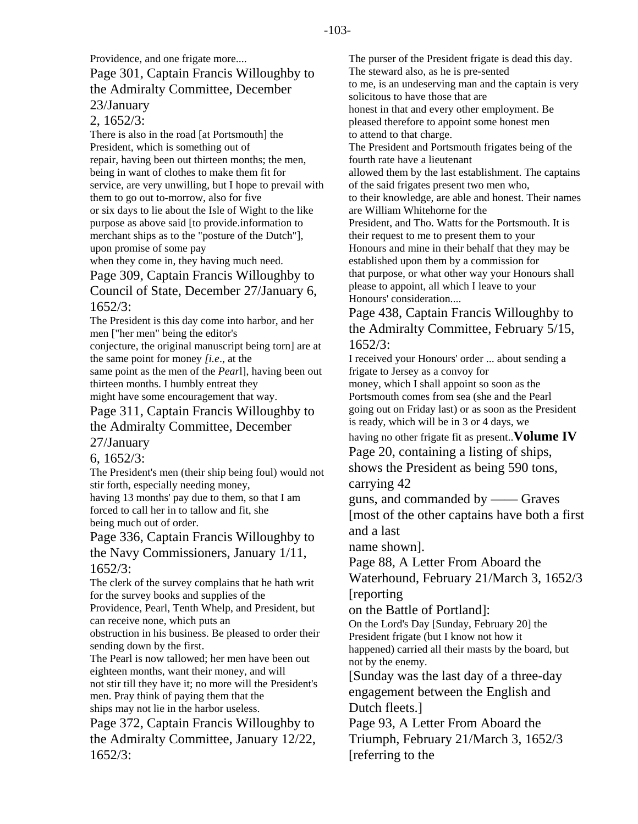Providence, and one frigate more....

Page 301, Captain Francis Willoughby to the Admiralty Committee, December 23/January

#### 2, 1652/3:

There is also in the road [at Portsmouth] the President, which is something out of repair, having been out thirteen months; the men, being in want of clothes to make them fit for service, are very unwilling, but I hope to prevail with them to go out to-morrow, also for five or six days to lie about the Isle of Wight to the like purpose as above said [to provide.information to merchant ships as to the "posture of the Dutch"], upon promise of some pay

when they come in, they having much need.

Page 309, Captain Francis Willoughby to Council of State, December 27/January 6, 1652/3:

The President is this day come into harbor, and her men ["her men" being the editor's

conjecture, the original manuscript being torn] are at the same point for money *[i.e*., at the

same point as the men of the *Pear*l], having been out thirteen months. I humbly entreat they

might have some encouragement that way.

Page 311, Captain Francis Willoughby to the Admiralty Committee, December

#### 27/January

6, 1652/3:

The President's men (their ship being foul) would not stir forth, especially needing money,

having 13 months' pay due to them, so that I am forced to call her in to tallow and fit, she being much out of order.

Page 336, Captain Francis Willoughby to the Navy Commissioners, January 1/11,  $1652/3$ :

The clerk of the survey complains that he hath writ for the survey books and supplies of the

Providence, Pearl, Tenth Whelp, and President, but can receive none, which puts an

obstruction in his business. Be pleased to order their sending down by the first.

The Pearl is now tallowed; her men have been out eighteen months, want their money, and will not stir till they have it; no more will the President's men. Pray think of paying them that the ships may not lie in the harbor useless.

Page 372, Captain Francis Willoughby to the Admiralty Committee, January 12/22, 1652/3:

The purser of the President frigate is dead this day. The steward also, as he is pre-sented to me, is an undeserving man and the captain is very solicitous to have those that are honest in that and every other employment. Be pleased therefore to appoint some honest men to attend to that charge. The President and Portsmouth frigates being of the fourth rate have a lieutenant allowed them by the last establishment. The captains of the said frigates present two men who, to their knowledge, are able and honest. Their names are William Whitehorne for the President, and Tho. Watts for the Portsmouth. It is their request to me to present them to your Honours and mine in their behalf that they may be established upon them by a commission for that purpose, or what other way your Honours shall please to appoint, all which I leave to your Honours' consideration....

Page 438, Captain Francis Willoughby to the Admiralty Committee, February 5/15, 1652/3:

I received your Honours' order ... about sending a frigate to Jersey as a convoy for money, which I shall appoint so soon as the Portsmouth comes from sea (she and the Pearl

going out on Friday last) or as soon as the President is ready, which will be in 3 or 4 days, we

having no other frigate fit as present..**Volume IV**  Page 20, containing a listing of ships, shows the President as being 590 tons,

carrying 42

guns, and commanded by —— Graves

[most of the other captains have both a first and a last

name shown].

Page 88, A Letter From Aboard the

Waterhound, February 21/March 3, 1652/3 [reporting

on the Battle of Portland]:

On the Lord's Day [Sunday, February 20] the President frigate (but I know not how it happened) carried all their masts by the board, but not by the enemy.

[Sunday was the last day of a three-day engagement between the English and Dutch fleets.]

Page 93, A Letter From Aboard the Triumph, February 21/March 3, 1652/3 [referring to the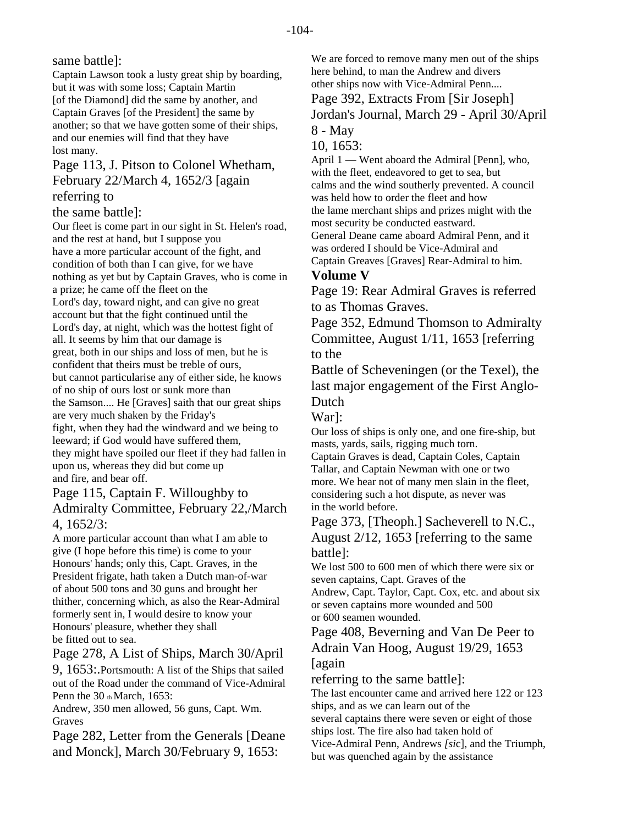## same battle]:

Captain Lawson took a lusty great ship by boarding, but it was with some loss; Captain Martin [of the Diamond] did the same by another, and Captain Graves [of the President] the same by another; so that we have gotten some of their ships, and our enemies will find that they have lost many.

## Page 113, J. Pitson to Colonel Whetham, February 22/March 4, 1652/3 [again referring to

## the same battle]:

Our fleet is come part in our sight in St. Helen's road, and the rest at hand, but I suppose you have a more particular account of the fight, and condition of both than I can give, for we have nothing as yet but by Captain Graves, who is come in a prize; he came off the fleet on the Lord's day, toward night, and can give no great account but that the fight continued until the Lord's day, at night, which was the hottest fight of all. It seems by him that our damage is great, both in our ships and loss of men, but he is confident that theirs must be treble of ours, but cannot particularise any of either side, he knows of no ship of ours lost or sunk more than the Samson.... He [Graves] saith that our great ships are very much shaken by the Friday's fight, when they had the windward and we being to leeward; if God would have suffered them, they might have spoiled our fleet if they had fallen in upon us, whereas they did but come up and fire, and bear off.

## Page 115, Captain F. Willoughby to Admiralty Committee, February 22,/March 4, 1652/3:

A more particular account than what I am able to give (I hope before this time) is come to your Honours' hands; only this, Capt. Graves, in the President frigate, hath taken a Dutch man-of-war of about 500 tons and 30 guns and brought her thither, concerning which, as also the Rear-Admiral formerly sent in, I would desire to know your Honours' pleasure, whether they shall be fitted out to sea.

## Page 278, A List of Ships, March 30/April

9, 1653:.Portsmouth: A list of the Ships that sailed out of the Road under the command of Vice-Admiral Penn the 30 th March, 1653:

Andrew, 350 men allowed, 56 guns, Capt. Wm. Graves

Page 282, Letter from the Generals [Deane and Monck], March 30/February 9, 1653:

We are forced to remove many men out of the ships here behind, to man the Andrew and divers other ships now with Vice-Admiral Penn.... Page 392, Extracts From [Sir Joseph] Jordan's Journal, March 29 - April 30/April 8 - May

## 10, 1653:

April 1 — Went aboard the Admiral [Penn], who, with the fleet, endeavored to get to sea, but calms and the wind southerly prevented. A council was held how to order the fleet and how the lame merchant ships and prizes might with the most security be conducted eastward.

General Deane came aboard Admiral Penn, and it was ordered I should be Vice-Admiral and Captain Greaves [Graves] Rear-Admiral to him.

## **Volume V**

Page 19: Rear Admiral Graves is referred to as Thomas Graves.

Page 352, Edmund Thomson to Admiralty Committee, August 1/11, 1653 [referring to the

Battle of Scheveningen (or the Texel), the last major engagement of the First Anglo-Dutch

War]:

Our loss of ships is only one, and one fire-ship, but masts, yards, sails, rigging much torn.

Captain Graves is dead, Captain Coles, Captain Tallar, and Captain Newman with one or two more. We hear not of many men slain in the fleet, considering such a hot dispute, as never was in the world before.

Page 373, [Theoph.] Sacheverell to N.C., August 2/12, 1653 [referring to the same battle]:

We lost 500 to 600 men of which there were six or seven captains, Capt. Graves of the

Andrew, Capt. Taylor, Capt. Cox, etc. and about six or seven captains more wounded and 500 or 600 seamen wounded.

Page 408, Beverning and Van De Peer to Adrain Van Hoog, August 19/29, 1653 [again

referring to the same battle]:

The last encounter came and arrived here 122 or 123 ships, and as we can learn out of the

several captains there were seven or eight of those

ships lost. The fire also had taken hold of

Vice-Admiral Penn, Andrews *[si*c], and the Triumph, but was quenched again by the assistance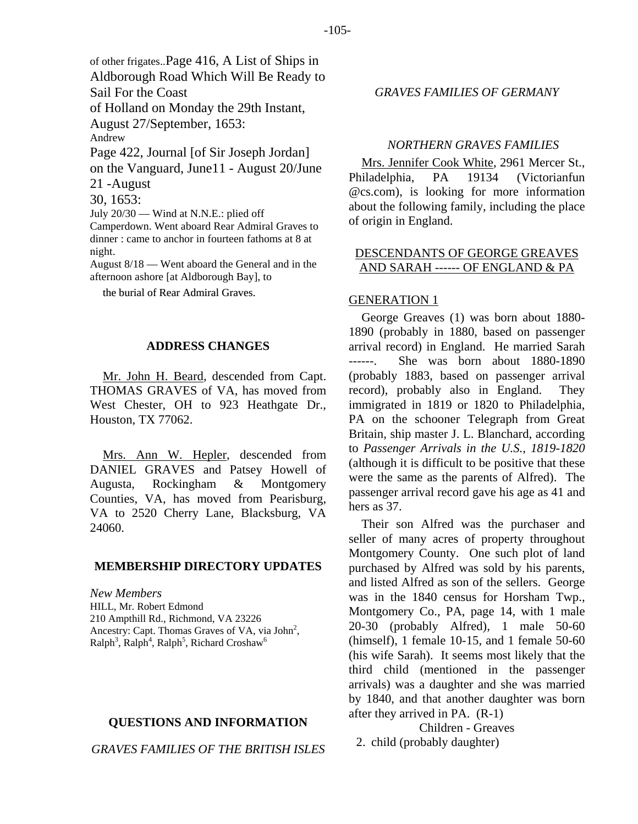of other frigates..Page 416, A List of Ships in Aldborough Road Which Will Be Ready to Sail For the Coast of Holland on Monday the 29th Instant,

August 27/September, 1653:

Andrew

Page 422, Journal [of Sir Joseph Jordan] on the Vanguard, June11 - August 20/June 21 -August

30, 1653:

July 20/30 — Wind at N.N.E.: plied off

Camperdown. Went aboard Rear Admiral Graves to dinner : came to anchor in fourteen fathoms at 8 at night.

August 8/18 — Went aboard the General and in the afternoon ashore [at Aldborough Bay], to

the burial of Rear Admiral Graves.

#### **ADDRESS CHANGES**

Mr. John H. Beard, descended from Capt. THOMAS GRAVES of VA, has moved from West Chester, OH to 923 Heathgate Dr., Houston, TX 77062.

Mrs. Ann W. Hepler, descended from DANIEL GRAVES and Patsey Howell of Augusta, Rockingham & Montgomery Counties, VA, has moved from Pearisburg, VA to 2520 Cherry Lane, Blacksburg, VA 24060.

#### **MEMBERSHIP DIRECTORY UPDATES**

*New Members*  HILL, Mr. Robert Edmond 210 Ampthill Rd., Richmond, VA 23226 Ancestry: Capt. Thomas Graves of VA, via John<sup>2</sup>,  $\text{Ralph}^3$ ,  $\text{Ralph}^4$ ,  $\text{Ralph}^5$ , Richard Croshaw<sup>6</sup>

#### **QUESTIONS AND INFORMATION**

*GRAVES FAMILIES OF THE BRITISH ISLES* 

*GRAVES FAMILIES OF GERMANY* 

#### *NORTHERN GRAVES FAMILIES*

Mrs. Jennifer Cook White, 2961 Mercer St., Philadelphia, PA 19134 (Victorianfun @cs.com), is looking for more information about the following family, including the place of origin in England.

#### DESCENDANTS OF GEORGE GREAVES AND SARAH ------ OF ENGLAND & PA

#### GENERATION 1

George Greaves (1) was born about 1880- 1890 (probably in 1880, based on passenger arrival record) in England. He married Sarah ------. She was born about 1880-1890 (probably 1883, based on passenger arrival record), probably also in England. They immigrated in 1819 or 1820 to Philadelphia, PA on the schooner Telegraph from Great Britain, ship master J. L. Blanchard, according to *Passenger Arrivals in the U.S., 1819-1820* (although it is difficult to be positive that these were the same as the parents of Alfred). The passenger arrival record gave his age as 41 and hers as 37.

Their son Alfred was the purchaser and seller of many acres of property throughout Montgomery County. One such plot of land purchased by Alfred was sold by his parents, and listed Alfred as son of the sellers. George was in the 1840 census for Horsham Twp., Montgomery Co., PA, page 14, with 1 male 20-30 (probably Alfred), 1 male 50-60 (himself), 1 female 10-15, and 1 female 50-60 (his wife Sarah). It seems most likely that the third child (mentioned in the passenger arrivals) was a daughter and she was married by 1840, and that another daughter was born after they arrived in PA. (R-1)

Children - Greaves

2. child (probably daughter)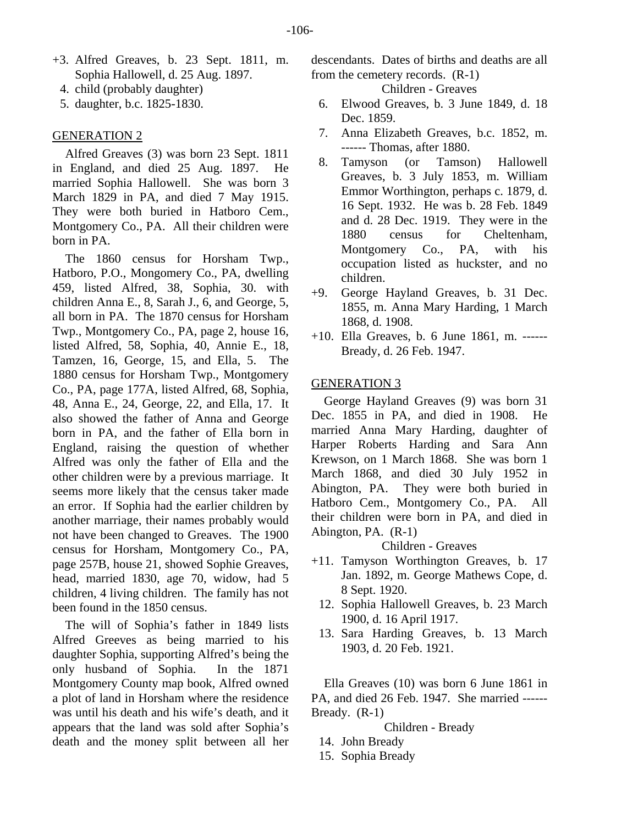- +3. Alfred Greaves, b. 23 Sept. 1811, m. Sophia Hallowell, d. 25 Aug. 1897.
	- 4. child (probably daughter)
	- 5. daughter, b.c. 1825-1830.

Alfred Greaves (3) was born 23 Sept. 1811 in England, and died 25 Aug. 1897. He married Sophia Hallowell. She was born 3 March 1829 in PA, and died 7 May 1915. They were both buried in Hatboro Cem., Montgomery Co., PA. All their children were born in PA.

The 1860 census for Horsham Twp., Hatboro, P.O., Mongomery Co., PA, dwelling 459, listed Alfred, 38, Sophia, 30. with children Anna E., 8, Sarah J., 6, and George, 5, all born in PA. The 1870 census for Horsham Twp., Montgomery Co., PA, page 2, house 16, listed Alfred, 58, Sophia, 40, Annie E., 18, Tamzen, 16, George, 15, and Ella, 5. The 1880 census for Horsham Twp., Montgomery Co., PA, page 177A, listed Alfred, 68, Sophia, 48, Anna E., 24, George, 22, and Ella, 17. It also showed the father of Anna and George born in PA, and the father of Ella born in England, raising the question of whether Alfred was only the father of Ella and the other children were by a previous marriage. It seems more likely that the census taker made an error. If Sophia had the earlier children by another marriage, their names probably would not have been changed to Greaves. The 1900 census for Horsham, Montgomery Co., PA, page 257B, house 21, showed Sophie Greaves, head, married 1830, age 70, widow, had 5 children, 4 living children. The family has not been found in the 1850 census.

The will of Sophia's father in 1849 lists Alfred Greeves as being married to his daughter Sophia, supporting Alfred's being the only husband of Sophia. In the 1871 Montgomery County map book, Alfred owned a plot of land in Horsham where the residence was until his death and his wife's death, and it appears that the land was sold after Sophia's death and the money split between all her

descendants. Dates of births and deaths are all from the cemetery records. (R-1)

Children - Greaves

- 6. Elwood Greaves, b. 3 June 1849, d. 18 Dec. 1859.
- 7. Anna Elizabeth Greaves, b.c. 1852, m. ------ Thomas, after 1880.
- 8. Tamyson (or Tamson) Hallowell Greaves, b. 3 July 1853, m. William Emmor Worthington, perhaps c. 1879, d. 16 Sept. 1932. He was b. 28 Feb. 1849 and d. 28 Dec. 1919. They were in the 1880 census for Cheltenham, Montgomery Co., PA, with his occupation listed as huckster, and no children.
- +9. George Hayland Greaves, b. 31 Dec. 1855, m. Anna Mary Harding, 1 March 1868, d. 1908.
- +10. Ella Greaves, b. 6 June 1861, m. ------ Bready, d. 26 Feb. 1947.

#### GENERATION 3

George Hayland Greaves (9) was born 31 Dec. 1855 in PA, and died in 1908. He married Anna Mary Harding, daughter of Harper Roberts Harding and Sara Ann Krewson, on 1 March 1868. She was born 1 March 1868, and died 30 July 1952 in Abington, PA. They were both buried in Hatboro Cem., Montgomery Co., PA. All their children were born in PA, and died in Abington, PA. (R-1)

#### Children - Greaves

- +11. Tamyson Worthington Greaves, b. 17 Jan. 1892, m. George Mathews Cope, d. 8 Sept. 1920.
	- 12. Sophia Hallowell Greaves, b. 23 March 1900, d. 16 April 1917.
	- 13. Sara Harding Greaves, b. 13 March 1903, d. 20 Feb. 1921.

Ella Greaves (10) was born 6 June 1861 in PA, and died 26 Feb. 1947. She married ------ Bready. (R-1)

#### Children - Bready

- 14. John Bready
- 15. Sophia Bready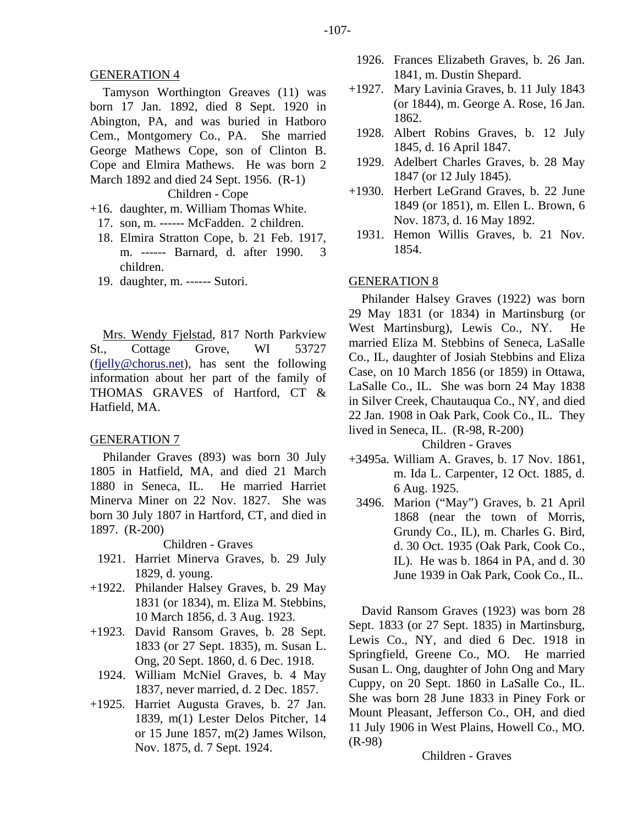Tamyson Worthington Greaves (11) was born 17 Jan. 1892, died 8 Sept. 1920 in Abington, PA, and was buried in Hatboro Cem., Montgomery Co., PA. She married George Mathews Cope, son of Clinton B. Cope and Elmira Mathews. He was born 2 March 1892 and died 24 Sept. 1956. (R-1)

## Children - Cope

- +16. daughter, m. William Thomas White.
	- 17. son, m. ------ McFadden. 2 children.
	- 18. Elmira Stratton Cope, b. 21 Feb. 1917, m. ------ Barnard, d. after 1990. 3 children.
	- 19. daughter, m. ------ Sutori.

Mrs. Wendy Fjelstad, 817 North Parkview St., Cottage Grove, WI 53727 [\(fjelly@chorus.net\)](mailto:fjelly@chorus.net), has sent the following information about her part of the family of THOMAS GRAVES of Hartford, CT & Hatfield, MA.

#### GENERATION 7

Philander Graves (893) was born 30 July 1805 in Hatfield, MA, and died 21 March 1880 in Seneca, IL. He married Harriet Minerva Miner on 22 Nov. 1827. She was born 30 July 1807 in Hartford, CT, and died in 1897. (R-200)

#### Children - Graves

- 1921. Harriet Minerva Graves, b. 29 July 1829, d. young.
- +1922. Philander Halsey Graves, b. 29 May 1831 (or 1834), m. Eliza M. Stebbins, 10 March 1856, d. 3 Aug. 1923.
- +1923. David Ransom Graves, b. 28 Sept. 1833 (or 27 Sept. 1835), m. Susan L. Ong, 20 Sept. 1860, d. 6 Dec. 1918.
- 1924. William McNiel Graves, b. 4 May 1837, never married, d. 2 Dec. 1857.
- +1925. Harriet Augusta Graves, b. 27 Jan. 1839, m(1) Lester Delos Pitcher, 14 or 15 June 1857, m(2) James Wilson, Nov. 1875, d. 7 Sept. 1924.
- 1926. Frances Elizabeth Graves, b. 26 Jan. 1841, m. Dustin Shepard.
- +1927. Mary Lavinia Graves, b. 11 July 1843 (or 1844), m. George A. Rose, 16 Jan. 1862.
- 1928. Albert Robins Graves, b. 12 July 1845, d. 16 April 1847.
- 1929. Adelbert Charles Graves, b. 28 May 1847 (or 12 July 1845).
- +1930. Herbert LeGrand Graves, b. 22 June 1849 (or 1851), m. Ellen L. Brown, 6 Nov. 1873, d. 16 May 1892.
	- 1931. Hemon Willis Graves, b. 21 Nov. 1854.

#### GENERATION 8

Philander Halsey Graves (1922) was born 29 May 1831 (or 1834) in Martinsburg (or West Martinsburg), Lewis Co., NY. He married Eliza M. Stebbins of Seneca, LaSalle Co., IL, daughter of Josiah Stebbins and Eliza Case, on 10 March 1856 (or 1859) in Ottawa, LaSalle Co., IL. She was born 24 May 1838 in Silver Creek, Chautauqua Co., NY, and died 22 Jan. 1908 in Oak Park, Cook Co., IL. They lived in Seneca, IL. (R-98, R-200)

Children - Graves

- +3495a. William A. Graves, b. 17 Nov. 1861, m. Ida L. Carpenter, 12 Oct. 1885, d. 6 Aug. 1925.
	- 3496. Marion ("May") Graves, b. 21 April 1868 (near the town of Morris, Grundy Co., IL), m. Charles G. Bird, d. 30 Oct. 1935 (Oak Park, Cook Co., IL). He was b. 1864 in PA, and d. 30 June 1939 in Oak Park, Cook Co., IL.

David Ransom Graves (1923) was born 28 Sept. 1833 (or 27 Sept. 1835) in Martinsburg, Lewis Co., NY, and died 6 Dec. 1918 in Springfield, Greene Co., MO. He married Susan L. Ong, daughter of John Ong and Mary Cuppy, on 20 Sept. 1860 in LaSalle Co., IL. She was born 28 June 1833 in Piney Fork or Mount Pleasant, Jefferson Co., OH, and died 11 July 1906 in West Plains, Howell Co., MO. (R-98)

Children - Graves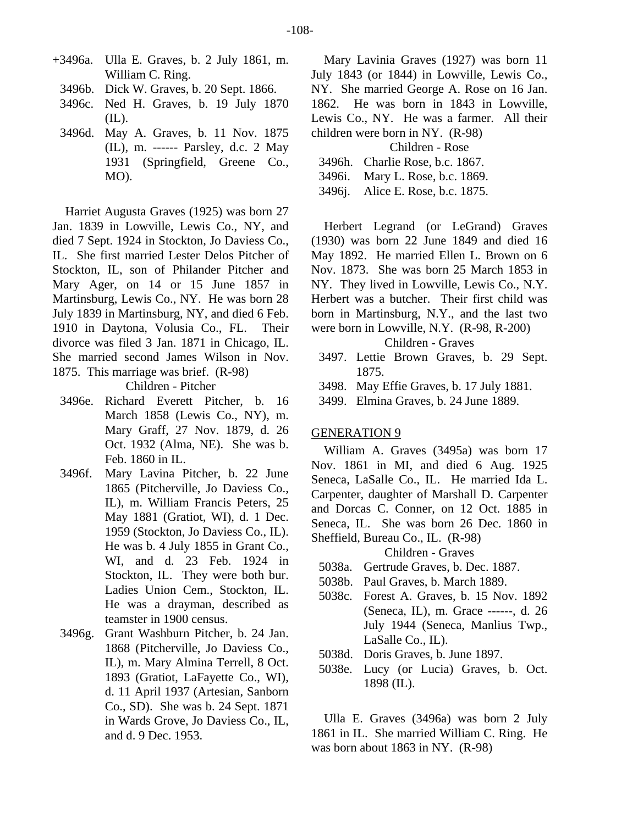- +3496a. Ulla E. Graves, b. 2 July 1861, m. William C. Ring.
	- 3496b. Dick W. Graves, b. 20 Sept. 1866.
	- 3496c. Ned H. Graves, b. 19 July 1870  $(IL)$ .
	- 3496d. May A. Graves, b. 11 Nov. 1875 (IL), m. ------ Parsley, d.c. 2 May 1931 (Springfield, Greene Co., MO).

Harriet Augusta Graves (1925) was born 27 Jan. 1839 in Lowville, Lewis Co., NY, and died 7 Sept. 1924 in Stockton, Jo Daviess Co., IL. She first married Lester Delos Pitcher of Stockton, IL, son of Philander Pitcher and Mary Ager, on 14 or 15 June 1857 in Martinsburg, Lewis Co., NY. He was born 28 July 1839 in Martinsburg, NY, and died 6 Feb. 1910 in Daytona, Volusia Co., FL. Their divorce was filed 3 Jan. 1871 in Chicago, IL. She married second James Wilson in Nov. 1875. This marriage was brief. (R-98)

Children - Pitcher

- 3496e. Richard Everett Pitcher, b. 16 March 1858 (Lewis Co., NY), m. Mary Graff, 27 Nov. 1879, d. 26 Oct. 1932 (Alma, NE). She was b. Feb. 1860 in IL.
- 3496f. Mary Lavina Pitcher, b. 22 June 1865 (Pitcherville, Jo Daviess Co., IL), m. William Francis Peters, 25 May 1881 (Gratiot, WI), d. 1 Dec. 1959 (Stockton, Jo Daviess Co., IL). He was b. 4 July 1855 in Grant Co., WI, and d. 23 Feb. 1924 in Stockton, IL. They were both bur. Ladies Union Cem., Stockton, IL. He was a drayman, described as teamster in 1900 census.
- 3496g. Grant Washburn Pitcher, b. 24 Jan. 1868 (Pitcherville, Jo Daviess Co., IL), m. Mary Almina Terrell, 8 Oct. 1893 (Gratiot, LaFayette Co., WI), d. 11 April 1937 (Artesian, Sanborn Co., SD). She was b. 24 Sept. 1871 in Wards Grove, Jo Daviess Co., IL, and d. 9 Dec. 1953.

Mary Lavinia Graves (1927) was born 11 July 1843 (or 1844) in Lowville, Lewis Co., NY. She married George A. Rose on 16 Jan. 1862. He was born in 1843 in Lowville, Lewis Co., NY. He was a farmer. All their children were born in NY. (R-98)

Children - Rose

3496h. Charlie Rose, b.c. 1867.

3496i. Mary L. Rose, b.c. 1869.

3496j. Alice E. Rose, b.c. 1875.

Herbert Legrand (or LeGrand) Graves (1930) was born 22 June 1849 and died 16 May 1892. He married Ellen L. Brown on 6 Nov. 1873. She was born 25 March 1853 in NY. They lived in Lowville, Lewis Co., N.Y. Herbert was a butcher. Their first child was born in Martinsburg, N.Y., and the last two were born in Lowville, N.Y. (R-98, R-200)

#### Children - Graves

- 3497. Lettie Brown Graves, b. 29 Sept. 1875.
- 3498. May Effie Graves, b. 17 July 1881.
- 3499. Elmina Graves, b. 24 June 1889.

#### GENERATION 9

William A. Graves (3495a) was born 17 Nov. 1861 in MI, and died 6 Aug. 1925 Seneca, LaSalle Co., IL. He married Ida L. Carpenter, daughter of Marshall D. Carpenter and Dorcas C. Conner, on 12 Oct. 1885 in Seneca, IL. She was born 26 Dec. 1860 in Sheffield, Bureau Co., IL. (R-98)

#### Children - Graves

- 5038a. Gertrude Graves, b. Dec. 1887.
- 5038b. Paul Graves, b. March 1889.
- 5038c. Forest A. Graves, b. 15 Nov. 1892 (Seneca, IL), m. Grace ------, d. 26 July 1944 (Seneca, Manlius Twp., LaSalle Co., IL).
- 5038d. Doris Graves, b. June 1897.
- 5038e. Lucy (or Lucia) Graves, b. Oct. 1898 (IL).

Ulla E. Graves (3496a) was born 2 July 1861 in IL. She married William C. Ring. He was born about 1863 in NY. (R-98)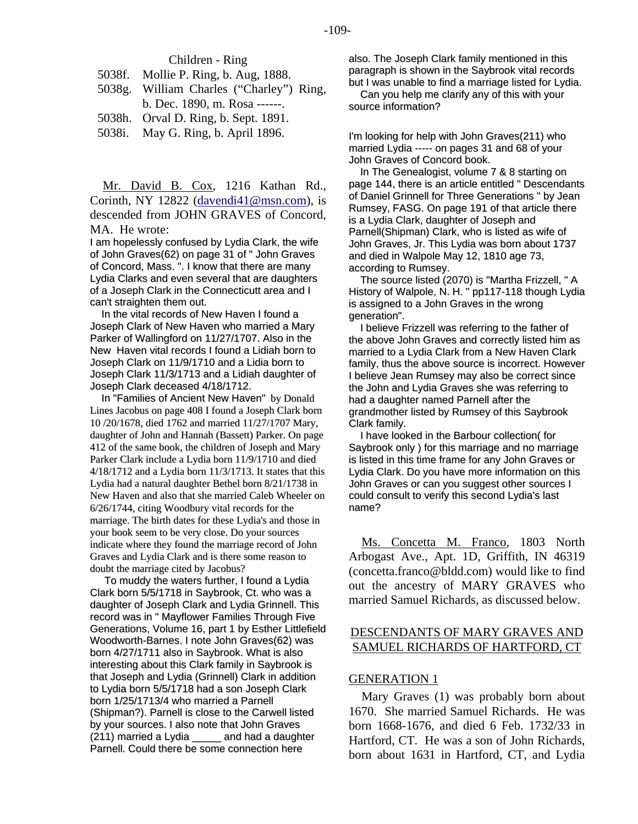#### Children - Ring

| 5038f. Mollie P. Ring, b. Aug, 1888.     |
|------------------------------------------|
| 5038g. William Charles ("Charley") Ring, |
| b. Dec. 1890, m. Rosa ------.            |
| 5038h. Orval D. Ring, b. Sept. 1891.     |

5038i. May G. Ring, b. April 1896.

Mr. David B. Cox, 1216 Kathan Rd., Corinth, NY 12822 ([davendi41@msn.com](mailto:davendi41@msn.com)), is descended from JOHN GRAVES of Concord, MA. He wrote:

I am hopelessly confused by Lydia Clark, the wife of John Graves(62) on page 31 of " John Graves of Concord, Mass. ". I know that there are many Lydia Clarks and even several that are daughters of a Joseph Clark in the Connecticutt area and I can't straighten them out.

In the vital records of New Haven I found a Joseph Clark of New Haven who married a Mary Parker of Wallingford on 11/27/1707. Also in the New Haven vital records I found a Lidiah born to Joseph Clark on 11/9/1710 and a Lidia born to Joseph Clark 11/3/1713 and a Lidiah daughter of Joseph Clark deceased 4/18/1712.

In "Families of Ancient New Haven" by Donald Lines Jacobus on page 408 I found a Joseph Clark born 10 /20/1678, died 1762 and married 11/27/1707 Mary, daughter of John and Hannah (Bassett) Parker. On page 412 of the same book, the children of Joseph and Mary Parker Clark include a Lydia born 11/9/1710 and died 4/18/1712 and a Lydia born 11/3/1713. It states that this Lydia had a natural daughter Bethel born 8/21/1738 in New Haven and also that she married Caleb Wheeler on 6/26/1744, citing Woodbury vital records for the marriage. The birth dates for these Lydia's and those in your book seem to be very close. Do your sources indicate where they found the marriage record of John Graves and Lydia Clark and is there some reason to doubt the marriage cited by Jacobus?

To muddy the waters further, I found a Lydia Clark born 5/5/1718 in Saybrook, Ct. who was a daughter of Joseph Clark and Lydia Grinnell. This record was in " Mayflower Families Through Five Generations, Volume 16, part 1 by Esther Littlefield Woodworth-Barnes. I note John Graves(62) was born 4/27/1711 also in Saybrook. What is also interesting about this Clark family in Saybrook is that Joseph and Lydia (Grinnell) Clark in addition to Lydia born 5/5/1718 had a son Joseph Clark born 1/25/1713/4 who married a Parnell (Shipman?). Parnell is close to the Carwell listed by your sources. I also note that John Graves (211) married a Lydia \_\_\_\_\_ and had a daughter Parnell. Could there be some connection here

also. The Joseph Clark family mentioned in this paragraph is shown in the Saybrook vital records but I was unable to find a marriage listed for Lydia.

Can you help me clarify any of this with your source information?

I'm looking for help with John Graves(211) who married Lydia ----- on pages 31 and 68 of your John Graves of Concord book.

In The Genealogist, volume 7 & 8 starting on page 144, there is an article entitled " Descendants of Daniel Grinnell for Three Generations " by Jean Rumsey, FASG. On page 191 of that article there is a Lydia Clark, daughter of Joseph and Parnell(Shipman) Clark, who is listed as wife of John Graves, Jr. This Lydia was born about 1737 and died in Walpole May 12, 1810 age 73, according to Rumsey.

The source listed (2070) is "Martha Frizzell, " A History of Walpole, N. H. " pp117-118 though Lydia is assigned to a John Graves in the wrong generation".

I believe Frizzell was referring to the father of the above John Graves and correctly listed him as married to a Lydia Clark from a New Haven Clark family, thus the above source is incorrect. However I believe Jean Rumsey may also be correct since the John and Lydia Graves she was referring to had a daughter named Parnell after the grandmother listed by Rumsey of this Saybrook Clark family.

I have looked in the Barbour collection( for Saybrook only ) for this marriage and no marriage is listed in this time frame for any John Graves or Lydia Clark. Do you have more information on this John Graves or can you suggest other sources I could consult to verify this second Lydia's last name?

Ms. Concetta M. Franco, 1803 North Arbogast Ave., Apt. 1D, Griffith, IN 46319 (concetta.franco@bldd.com) would like to find out the ancestry of MARY GRAVES who married Samuel Richards, as discussed below.

#### DESCENDANTS OF MARY GRAVES AND SAMUEL RICHARDS OF HARTFORD, CT

#### GENERATION 1

Mary Graves (1) was probably born about 1670. She married Samuel Richards. He was born 1668-1676, and died 6 Feb. 1732/33 in Hartford, CT. He was a son of John Richards, born about 1631 in Hartford, CT, and Lydia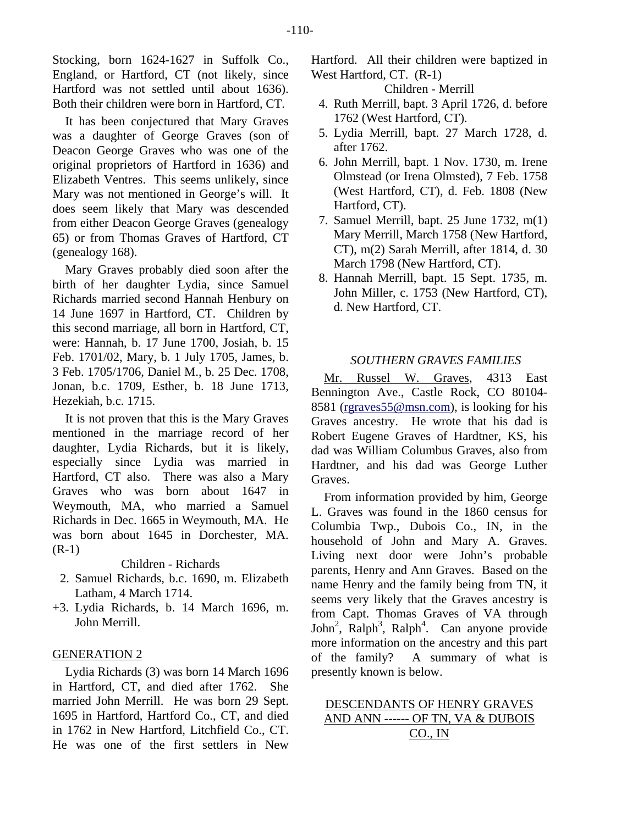Stocking, born 1624-1627 in Suffolk Co., England, or Hartford, CT (not likely, since Hartford was not settled until about 1636). Both their children were born in Hartford, CT.

It has been conjectured that Mary Graves was a daughter of George Graves (son of Deacon George Graves who was one of the original proprietors of Hartford in 1636) and Elizabeth Ventres. This seems unlikely, since Mary was not mentioned in George's will. It does seem likely that Mary was descended from either Deacon George Graves (genealogy 65) or from Thomas Graves of Hartford, CT (genealogy 168).

Mary Graves probably died soon after the birth of her daughter Lydia, since Samuel Richards married second Hannah Henbury on 14 June 1697 in Hartford, CT. Children by this second marriage, all born in Hartford, CT, were: Hannah, b. 17 June 1700, Josiah, b. 15 Feb. 1701/02, Mary, b. 1 July 1705, James, b. 3 Feb. 1705/1706, Daniel M., b. 25 Dec. 1708, Jonan, b.c. 1709, Esther, b. 18 June 1713, Hezekiah, b.c. 1715.

It is not proven that this is the Mary Graves mentioned in the marriage record of her daughter, Lydia Richards, but it is likely, especially since Lydia was married in Hartford, CT also. There was also a Mary Graves who was born about 1647 in Weymouth, MA, who married a Samuel Richards in Dec. 1665 in Weymouth, MA. He was born about 1645 in Dorchester, MA.  $(R-1)$ 

Children - Richards

- 2. Samuel Richards, b.c. 1690, m. Elizabeth Latham, 4 March 1714.
- +3. Lydia Richards, b. 14 March 1696, m. John Merrill.

#### GENERATION 2

Lydia Richards (3) was born 14 March 1696 in Hartford, CT, and died after 1762. She married John Merrill. He was born 29 Sept. 1695 in Hartford, Hartford Co., CT, and died in 1762 in New Hartford, Litchfield Co., CT. He was one of the first settlers in New

Hartford. All their children were baptized in West Hartford, CT. (R-1)

Children - Merrill

- 4. Ruth Merrill, bapt. 3 April 1726, d. before 1762 (West Hartford, CT).
- 5. Lydia Merrill, bapt. 27 March 1728, d. after 1762.
- 6. John Merrill, bapt. 1 Nov. 1730, m. Irene Olmstead (or Irena Olmsted), 7 Feb. 1758 (West Hartford, CT), d. Feb. 1808 (New Hartford, CT).
- 7. Samuel Merrill, bapt. 25 June 1732, m(1) Mary Merrill, March 1758 (New Hartford, CT), m(2) Sarah Merrill, after 1814, d. 30 March 1798 (New Hartford, CT).
- 8. Hannah Merrill, bapt. 15 Sept. 1735, m. John Miller, c. 1753 (New Hartford, CT), d. New Hartford, CT.

#### *SOUTHERN GRAVES FAMILIES*

Mr. Russel W. Graves, 4313 East Bennington Ave., Castle Rock, CO 80104- 8581 [\(rgraves55@msn.com](mailto:rgraves55@msn.com)), is looking for his Graves ancestry. He wrote that his dad is Robert Eugene Graves of Hardtner, KS, his dad was William Columbus Graves, also from Hardtner, and his dad was George Luther Graves.

From information provided by him, George L. Graves was found in the 1860 census for Columbia Twp., Dubois Co., IN, in the household of John and Mary A. Graves. Living next door were John's probable parents, Henry and Ann Graves. Based on the name Henry and the family being from TN, it seems very likely that the Graves ancestry is from Capt. Thomas Graves of VA through John<sup>2</sup>, Ralph<sup>3</sup>, Ralph<sup>4</sup>. Can anyone provide more information on the ancestry and this part of the family? A summary of what is presently known is below.

| DESCENDANTS OF HENRY GRAVES       |
|-----------------------------------|
| AND ANN ------ OF TN, VA & DUBOIS |
| $CO1$ IN                          |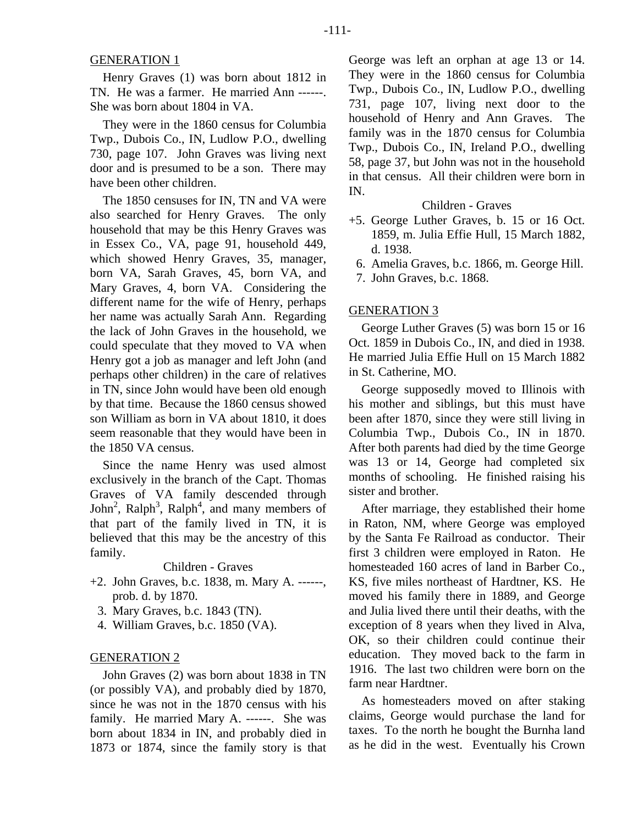Henry Graves (1) was born about 1812 in TN. He was a farmer. He married Ann ------. She was born about 1804 in VA.

They were in the 1860 census for Columbia Twp., Dubois Co., IN, Ludlow P.O., dwelling 730, page 107. John Graves was living next door and is presumed to be a son. There may have been other children.

The 1850 censuses for IN, TN and VA were also searched for Henry Graves. The only household that may be this Henry Graves was in Essex Co., VA, page 91, household 449, which showed Henry Graves, 35, manager, born VA, Sarah Graves, 45, born VA, and Mary Graves, 4, born VA. Considering the different name for the wife of Henry, perhaps her name was actually Sarah Ann. Regarding the lack of John Graves in the household, we could speculate that they moved to VA when Henry got a job as manager and left John (and perhaps other children) in the care of relatives in TN, since John would have been old enough by that time. Because the 1860 census showed son William as born in VA about 1810, it does seem reasonable that they would have been in the 1850 VA census.

Since the name Henry was used almost exclusively in the branch of the Capt. Thomas Graves of VA family descended through John<sup>2</sup>, Ralph<sup>3</sup>, Ralph<sup>4</sup>, and many members of that part of the family lived in TN, it is believed that this may be the ancestry of this family.

#### Children - Graves

- +2. John Graves, b.c. 1838, m. Mary A. ------, prob. d. by 1870.
	- 3. Mary Graves, b.c. 1843 (TN).
	- 4. William Graves, b.c. 1850 (VA).

#### GENERATION 2

John Graves (2) was born about 1838 in TN (or possibly VA), and probably died by 1870, since he was not in the 1870 census with his family. He married Mary A. ------. She was born about 1834 in IN, and probably died in 1873 or 1874, since the family story is that George was left an orphan at age 13 or 14. They were in the 1860 census for Columbia Twp., Dubois Co., IN, Ludlow P.O., dwelling 731, page 107, living next door to the household of Henry and Ann Graves. The family was in the 1870 census for Columbia Twp., Dubois Co., IN, Ireland P.O., dwelling 58, page 37, but John was not in the household in that census. All their children were born in IN.

#### Children - Graves

- +5. George Luther Graves, b. 15 or 16 Oct. 1859, m. Julia Effie Hull, 15 March 1882, d. 1938.
	- 6. Amelia Graves, b.c. 1866, m. George Hill.
	- 7. John Graves, b.c. 1868.

#### GENERATION 3

George Luther Graves (5) was born 15 or 16 Oct. 1859 in Dubois Co., IN, and died in 1938. He married Julia Effie Hull on 15 March 1882 in St. Catherine, MO.

George supposedly moved to Illinois with his mother and siblings, but this must have been after 1870, since they were still living in Columbia Twp., Dubois Co., IN in 1870. After both parents had died by the time George was 13 or 14, George had completed six months of schooling. He finished raising his sister and brother.

After marriage, they established their home in Raton, NM, where George was employed by the Santa Fe Railroad as conductor. Their first 3 children were employed in Raton. He homesteaded 160 acres of land in Barber Co., KS, five miles northeast of Hardtner, KS. He moved his family there in 1889, and George and Julia lived there until their deaths, with the exception of 8 years when they lived in Alva, OK, so their children could continue their education. They moved back to the farm in 1916. The last two children were born on the farm near Hardtner.

As homesteaders moved on after staking claims, George would purchase the land for taxes. To the north he bought the Burnha land as he did in the west. Eventually his Crown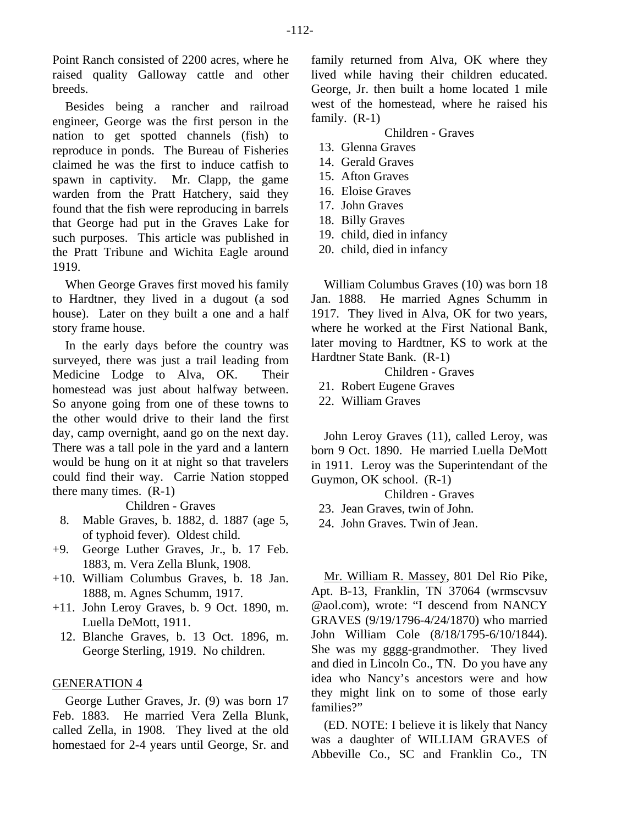Point Ranch consisted of 2200 acres, where he raised quality Galloway cattle and other breeds.

Besides being a rancher and railroad engineer, George was the first person in the nation to get spotted channels (fish) to reproduce in ponds. The Bureau of Fisheries claimed he was the first to induce catfish to spawn in captivity. Mr. Clapp, the game warden from the Pratt Hatchery, said they found that the fish were reproducing in barrels that George had put in the Graves Lake for such purposes. This article was published in the Pratt Tribune and Wichita Eagle around 1919.

When George Graves first moved his family to Hardtner, they lived in a dugout (a sod house). Later on they built a one and a half story frame house.

In the early days before the country was surveyed, there was just a trail leading from Medicine Lodge to Alva, OK. Their homestead was just about halfway between. So anyone going from one of these towns to the other would drive to their land the first day, camp overnight, aand go on the next day. There was a tall pole in the yard and a lantern would be hung on it at night so that travelers could find their way. Carrie Nation stopped there many times. (R-1)

Children - Graves

- 8. Mable Graves, b. 1882, d. 1887 (age 5, of typhoid fever). Oldest child.
- +9. George Luther Graves, Jr., b. 17 Feb. 1883, m. Vera Zella Blunk, 1908.
- +10. William Columbus Graves, b. 18 Jan. 1888, m. Agnes Schumm, 1917.
- +11. John Leroy Graves, b. 9 Oct. 1890, m. Luella DeMott, 1911.
	- 12. Blanche Graves, b. 13 Oct. 1896, m. George Sterling, 1919. No children.

#### GENERATION 4

George Luther Graves, Jr. (9) was born 17 Feb. 1883. He married Vera Zella Blunk, called Zella, in 1908. They lived at the old homestaed for 2-4 years until George, Sr. and family returned from Alva, OK where they lived while having their children educated. George, Jr. then built a home located 1 mile west of the homestead, where he raised his family.  $(R-1)$ 

#### Children - Graves

- 13. Glenna Graves
- 14. Gerald Graves
- 15. Afton Graves
- 16. Eloise Graves
- 17. John Graves
- 18. Billy Graves
- 19. child, died in infancy
- 20. child, died in infancy

William Columbus Graves (10) was born 18 Jan. 1888. He married Agnes Schumm in 1917. They lived in Alva, OK for two years, where he worked at the First National Bank, later moving to Hardtner, KS to work at the Hardtner State Bank. (R-1)

Children - Graves

- 21. Robert Eugene Graves
- 22. William Graves

John Leroy Graves (11), called Leroy, was born 9 Oct. 1890. He married Luella DeMott in 1911. Leroy was the Superintendant of the Guymon, OK school. (R-1)

Children - Graves

23. Jean Graves, twin of John.

24. John Graves. Twin of Jean.

Mr. William R. Massey, 801 Del Rio Pike, Apt. B-13, Franklin, TN 37064 (wrmscvsuv @aol.com), wrote: "I descend from NANCY GRAVES (9/19/1796-4/24/1870) who married John William Cole (8/18/1795-6/10/1844). She was my gggg-grandmother. They lived and died in Lincoln Co., TN. Do you have any idea who Nancy's ancestors were and how they might link on to some of those early families?"

(ED. NOTE: I believe it is likely that Nancy was a daughter of WILLIAM GRAVES of Abbeville Co., SC and Franklin Co., TN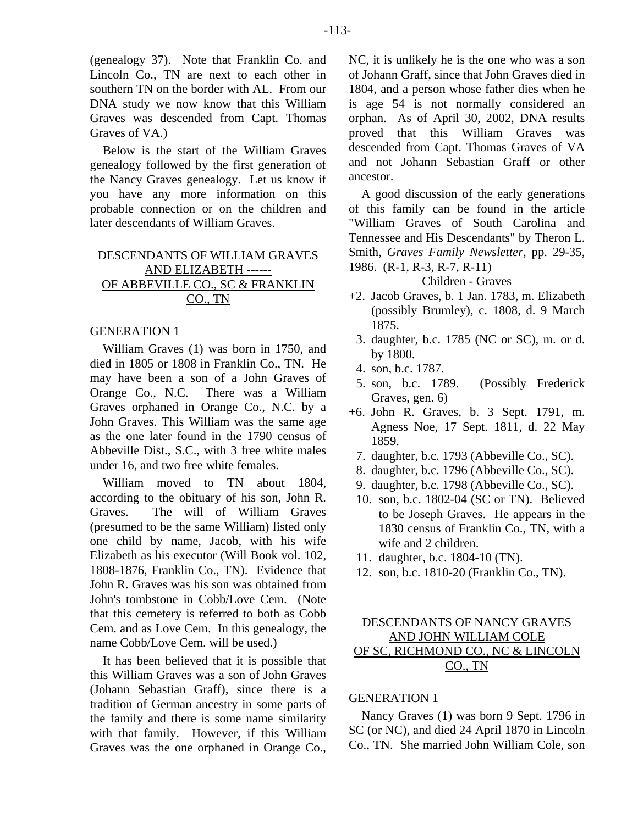(genealogy 37). Note that Franklin Co. and Lincoln Co., TN are next to each other in southern TN on the border with AL. From our DNA study we now know that this William Graves was descended from Capt. Thomas Graves of VA.)

Below is the start of the William Graves genealogy followed by the first generation of the Nancy Graves genealogy. Let us know if you have any more information on this probable connection or on the children and later descendants of William Graves.

## DESCENDANTS OF WILLIAM GRAVES AND ELIZABETH ------ OF ABBEVILLE CO., SC & FRANKLIN CO., TN

#### GENERATION 1

William Graves (1) was born in 1750, and died in 1805 or 1808 in Franklin Co., TN. He may have been a son of a John Graves of Orange Co., N.C. There was a William Graves orphaned in Orange Co., N.C. by a John Graves. This William was the same age as the one later found in the 1790 census of Abbeville Dist., S.C., with 3 free white males under 16, and two free white females.

William moved to TN about 1804, according to the obituary of his son, John R. Graves. The will of William Graves (presumed to be the same William) listed only one child by name, Jacob, with his wife Elizabeth as his executor (Will Book vol. 102, 1808-1876, Franklin Co., TN). Evidence that John R. Graves was his son was obtained from John's tombstone in Cobb/Love Cem. (Note that this cemetery is referred to both as Cobb Cem. and as Love Cem. In this genealogy, the name Cobb/Love Cem. will be used.)

It has been believed that it is possible that this William Graves was a son of John Graves (Johann Sebastian Graff), since there is a tradition of German ancestry in some parts of the family and there is some name similarity with that family. However, if this William Graves was the one orphaned in Orange Co.,

NC, it is unlikely he is the one who was a son of Johann Graff, since that John Graves died in 1804, and a person whose father dies when he is age 54 is not normally considered an orphan. As of April 30, 2002, DNA results proved that this William Graves was descended from Capt. Thomas Graves of VA and not Johann Sebastian Graff or other ancestor.

A good discussion of the early generations of this family can be found in the article "William Graves of South Carolina and Tennessee and His Descendants" by Theron L. Smith, *Graves Family Newsletter*, pp. 29-35, 1986. (R-1, R-3, R-7, R-11)

Children - Graves

- +2. Jacob Graves, b. 1 Jan. 1783, m. Elizabeth (possibly Brumley), c. 1808, d. 9 March 1875.
	- 3. daughter, b.c. 1785 (NC or SC), m. or d. by 1800.
	- 4. son, b.c. 1787.
	- 5. son, b.c. 1789. (Possibly Frederick Graves, gen. 6)
- +6. John R. Graves, b. 3 Sept. 1791, m. Agness Noe, 17 Sept. 1811, d. 22 May 1859.
	- 7. daughter, b.c. 1793 (Abbeville Co., SC).
	- 8. daughter, b.c. 1796 (Abbeville Co., SC).
	- 9. daughter, b.c. 1798 (Abbeville Co., SC).
	- 10. son, b.c. 1802-04 (SC or TN). Believed to be Joseph Graves. He appears in the 1830 census of Franklin Co., TN, with a wife and 2 children.
- 11. daughter, b.c. 1804-10 (TN).
- 12. son, b.c. 1810-20 (Franklin Co., TN).

## DESCENDANTS OF NANCY GRAVES AND JOHN WILLIAM COLE OF SC, RICHMOND CO., NC & LINCOLN CO., TN

#### GENERATION 1

Nancy Graves (1) was born 9 Sept. 1796 in SC (or NC), and died 24 April 1870 in Lincoln Co., TN. She married John William Cole, son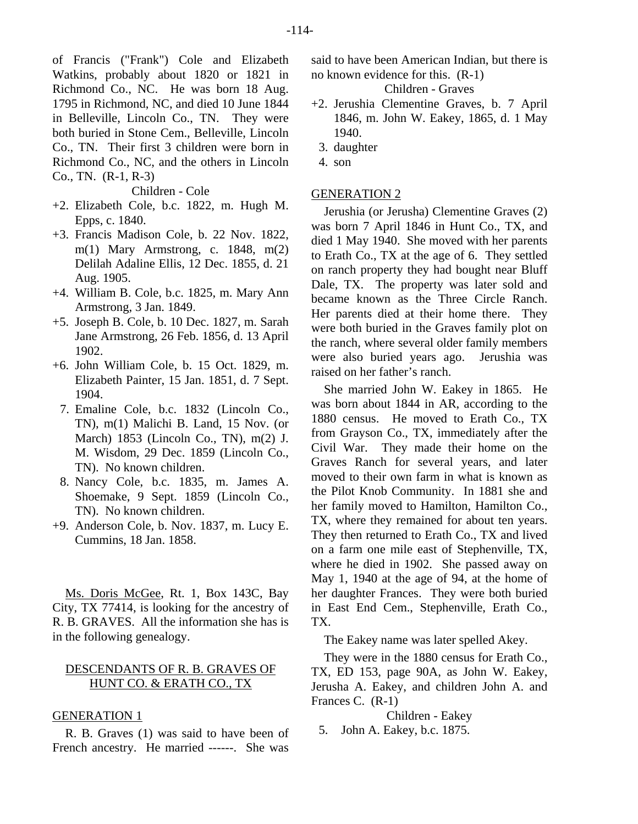of Francis ("Frank") Cole and Elizabeth Watkins, probably about 1820 or 1821 in Richmond Co., NC. He was born 18 Aug. 1795 in Richmond, NC, and died 10 June 1844 in Belleville, Lincoln Co., TN. They were both buried in Stone Cem., Belleville, Lincoln Co., TN. Their first 3 children were born in Richmond Co., NC, and the others in Lincoln Co., TN. (R-1, R-3)

Children - Cole

- +2. Elizabeth Cole, b.c. 1822, m. Hugh M. Epps, c. 1840.
- +3. Francis Madison Cole, b. 22 Nov. 1822, m(1) Mary Armstrong, c. 1848, m(2) Delilah Adaline Ellis, 12 Dec. 1855, d. 21 Aug. 1905.
- +4. William B. Cole, b.c. 1825, m. Mary Ann Armstrong, 3 Jan. 1849.
- +5. Joseph B. Cole, b. 10 Dec. 1827, m. Sarah Jane Armstrong, 26 Feb. 1856, d. 13 April 1902.
- +6. John William Cole, b. 15 Oct. 1829, m. Elizabeth Painter, 15 Jan. 1851, d. 7 Sept. 1904.
	- 7. Emaline Cole, b.c. 1832 (Lincoln Co., TN), m(1) Malichi B. Land, 15 Nov. (or March) 1853 (Lincoln Co., TN), m(2) J. M. Wisdom, 29 Dec. 1859 (Lincoln Co., TN). No known children.
	- 8. Nancy Cole, b.c. 1835, m. James A. Shoemake, 9 Sept. 1859 (Lincoln Co., TN). No known children.
- +9. Anderson Cole, b. Nov. 1837, m. Lucy E. Cummins, 18 Jan. 1858.

Ms. Doris McGee, Rt. 1, Box 143C, Bay City, TX 77414, is looking for the ancestry of R. B. GRAVES. All the information she has is in the following genealogy.

## DESCENDANTS OF R. B. GRAVES OF HUNT CO. & ERATH CO., TX

#### GENERATION 1

R. B. Graves (1) was said to have been of French ancestry. He married ------. She was

said to have been American Indian, but there is no known evidence for this. (R-1)

Children - Graves

- +2. Jerushia Clementine Graves, b. 7 April 1846, m. John W. Eakey, 1865, d. 1 May 1940.
	- 3. daughter
	- 4. son

#### GENERATION 2

Jerushia (or Jerusha) Clementine Graves (2) was born 7 April 1846 in Hunt Co., TX, and died 1 May 1940. She moved with her parents to Erath Co., TX at the age of 6. They settled on ranch property they had bought near Bluff Dale, TX. The property was later sold and became known as the Three Circle Ranch. Her parents died at their home there. They were both buried in the Graves family plot on the ranch, where several older family members were also buried years ago. Jerushia was raised on her father's ranch.

She married John W. Eakey in 1865. He was born about 1844 in AR, according to the 1880 census. He moved to Erath Co., TX from Grayson Co., TX, immediately after the Civil War. They made their home on the Graves Ranch for several years, and later moved to their own farm in what is known as the Pilot Knob Community. In 1881 she and her family moved to Hamilton, Hamilton Co., TX, where they remained for about ten years. They then returned to Erath Co., TX and lived on a farm one mile east of Stephenville, TX, where he died in 1902. She passed away on May 1, 1940 at the age of 94, at the home of her daughter Frances. They were both buried in East End Cem., Stephenville, Erath Co., TX.

The Eakey name was later spelled Akey.

They were in the 1880 census for Erath Co., TX, ED 153, page 90A, as John W. Eakey, Jerusha A. Eakey, and children John A. and Frances C. (R-1)

Children - Eakey

5. John A. Eakey, b.c. 1875.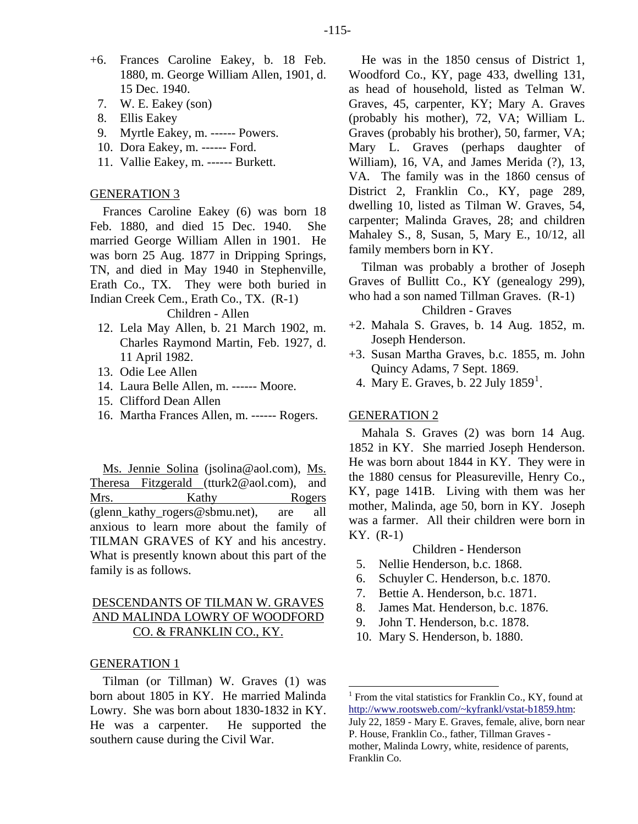- 7. W. E. Eakey (son)
- 8. Ellis Eakey
- 9. Myrtle Eakey, m. ------ Powers.
- 10. Dora Eakey, m. ------ Ford.
- 11. Vallie Eakey, m. ------ Burkett.

Frances Caroline Eakey (6) was born 18 Feb. 1880, and died 15 Dec. 1940. She married George William Allen in 1901. He was born 25 Aug. 1877 in Dripping Springs, TN, and died in May 1940 in Stephenville, Erath Co., TX. They were both buried in Indian Creek Cem., Erath Co., TX. (R-1)

#### Children - Allen

- 12. Lela May Allen, b. 21 March 1902, m. Charles Raymond Martin, Feb. 1927, d. 11 April 1982.
- 13. Odie Lee Allen
- 14. Laura Belle Allen, m. ------ Moore.
- 15. Clifford Dean Allen
- 16. Martha Frances Allen, m. ------ Rogers.

Ms. Jennie Solina (jsolina@aol.com), Ms. Theresa Fitzgerald (tturk2@aol.com), and Mrs. Kathy Rogers (glenn\_kathy\_rogers@sbmu.net), are all anxious to learn more about the family of TILMAN GRAVES of KY and his ancestry. What is presently known about this part of the family is as follows.

## DESCENDANTS OF TILMAN W. GRAVES AND MALINDA LOWRY OF WOODFORD CO. & FRANKLIN CO., KY.

#### GENERATION 1

<span id="page-18-0"></span>Tilman (or Tillman) W. Graves (1) was born about 1805 in KY. He married Malinda Lowry. She was born about 1830-1832 in KY. He was a carpenter. He supported the southern cause during the Civil War.

He was in the 1850 census of District 1, Woodford Co., KY, page 433, dwelling 131, as head of household, listed as Telman W. Graves, 45, carpenter, KY; Mary A. Graves (probably his mother), 72, VA; William L. Graves (probably his brother), 50, farmer, VA; Mary L. Graves (perhaps daughter of William), 16, VA, and James Merida (?), 13, VA. The family was in the 1860 census of District 2, Franklin Co., KY, page 289, dwelling 10, listed as Tilman W. Graves, 54, carpenter; Malinda Graves, 28; and children Mahaley S., 8, Susan, 5, Mary E., 10/12, all family members born in KY.

Tilman was probably a brother of Joseph Graves of Bullitt Co., KY (genealogy 299), who had a son named Tillman Graves. (R-1) Children - Graves

- +2. Mahala S. Graves, b. 14 Aug. 1852, m. Joseph Henderson.
- +3. Susan Martha Graves, b.c. 1855, m. John Quincy Adams, 7 Sept. 1869.
- 4. Mary E. Graves, b.  $22$  July  $1859<sup>1</sup>$  $1859<sup>1</sup>$ .

#### GENERATION 2

Mahala S. Graves (2) was born 14 Aug. 1852 in KY. She married Joseph Henderson. He was born about 1844 in KY. They were in the 1880 census for Pleasureville, Henry Co., KY, page 141B. Living with them was her mother, Malinda, age 50, born in KY. Joseph was a farmer. All their children were born in KY. (R-1)

Children - Henderson

- 5. Nellie Henderson, b.c. 1868.
- 6. Schuyler C. Henderson, b.c. 1870.
- 7. Bettie A. Henderson, b.c. 1871.
- 8. James Mat. Henderson, b.c. 1876.
- 9. John T. Henderson, b.c. 1878.
- 10. Mary S. Henderson, b. 1880.

<sup>&</sup>lt;sup>1</sup> From the vital statistics for Franklin Co., KY, found at [http://www.rootsweb.com/~kyfrankl/vstat-b1859.htm:](http://www.rootsweb.com/%7Ekyfrankl/vstat-b1859.htm) July 22, 1859 - Mary E. Graves, female, alive, born near P. House, Franklin Co., father, Tillman Graves mother, Malinda Lowry, white, residence of parents, Franklin Co.